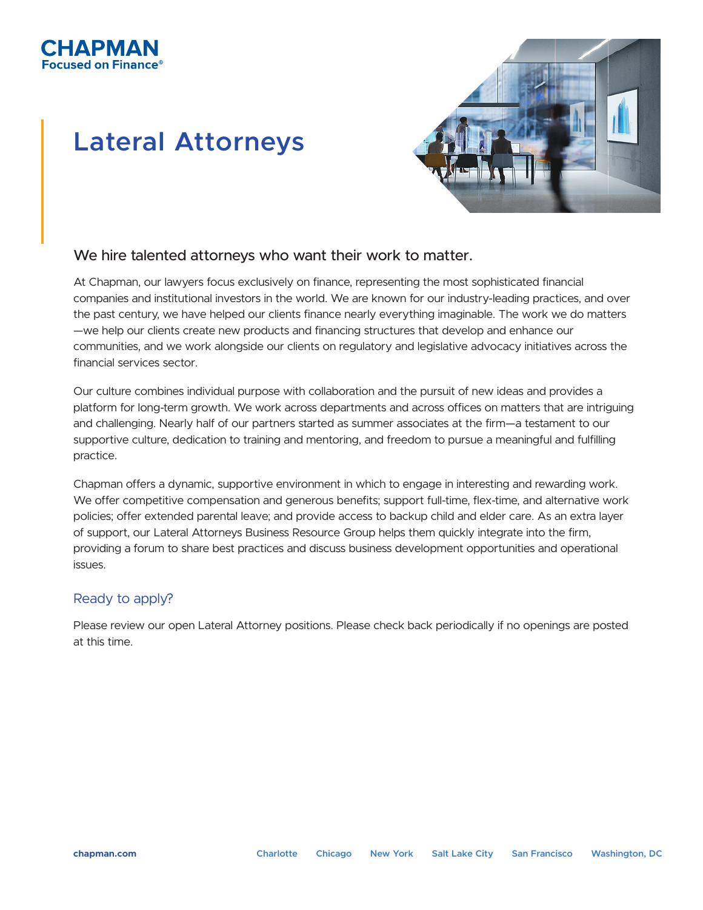

# **Lateral Attorneys**



## We hire talented attorneys who want their work to matter.

At Chapman, our lawyers focus exclusively on finance, representing the most sophisticated financial companies and institutional investors in the world. We are known for our industry-leading practices, and over the past century, we have helped our clients finance nearly everything imaginable. The work we do matters —we help our clients create new products and financing structures that develop and enhance our communities, and we work alongside our clients on regulatory and legislative advocacy initiatives across the financial services sector.

Our culture combines individual purpose with collaboration and the pursuit of new ideas and provides a platform for long-term growth. We work across departments and across offices on matters that are intriguing and challenging. Nearly half of our partners started as summer associates at the firm—a testament to our supportive culture, dedication to training and mentoring, and freedom to pursue a meaningful and fulfilling practice.

Chapman offers a dynamic, supportive environment in which to engage in interesting and rewarding work. We offer competitive compensation and generous benefits; support full-time, flex-time, and alternative work policies; offer extended parental leave; and provide access to backup child and elder care. As an extra layer of support, our Lateral Attorneys Business Resource Group helps them quickly integrate into the firm, providing a forum to share best practices and discuss business development opportunities and operational issues.

## Ready to apply?

Please review our open Lateral Attorney positions. Please check back periodically if no openings are posted at this time.